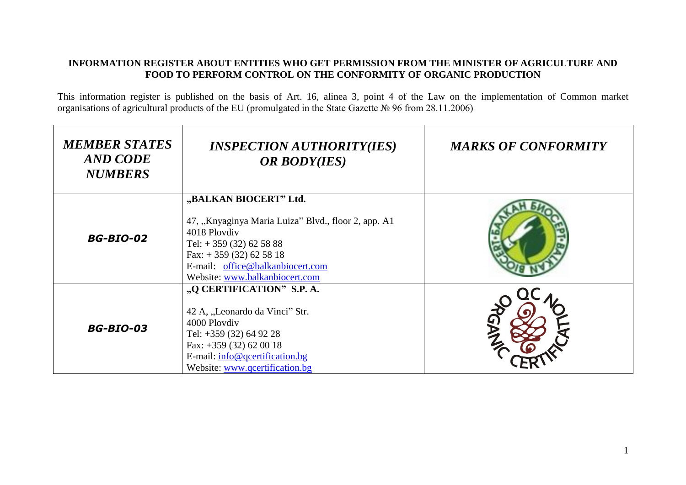## **INFORMATION REGISTER ABOUT ENTITIES WHO GET PERMISSION FROM THE MINISTER OF AGRICULTURE AND FOOD TO PERFORM CONTROL ON THE CONFORMITY OF ORGANIC PRODUCTION**

This information register is published on the basis of Art. 16, alinea 3, point 4 of the Law on the implementation of Common market organisations of agricultural products of the EU (promulgated in the State Gazette № 96 from 28.11.2006)

| <b>MEMBER STATES</b><br>AND CODE<br><b>NUMBERS</b> | <i><b>INSPECTION AUTHORITY(IES)</b></i><br><b>OR BODY(IES)</b>                                                                                                                                                       | <b>MARKS OF CONFORMITY</b> |
|----------------------------------------------------|----------------------------------------------------------------------------------------------------------------------------------------------------------------------------------------------------------------------|----------------------------|
| <b>BG-BIO-02</b>                                   | "BALKAN BIOCERT" Ltd.<br>47, "Knyaginya Maria Luiza" Blvd., floor 2, app. A1<br>4018 Plovdiv<br>Tel: $+359(32)625888$<br>Fax: $+359(32)625818$<br>E-mail: office@balkanbiocert.com<br>Website: www.balkanbiocert.com |                            |
| <b>BG-BIO-03</b>                                   | "Q CERTIFICATION" S.P. A.<br>42 A, "Leonardo da Vinci" Str.<br>4000 Plovdiv<br>Tel: +359 (32) 64 92 28<br>Fax: $+359(32)620018$<br>E-mail: info@qcertification.bg<br>Website: www.qcertification.bg                  |                            |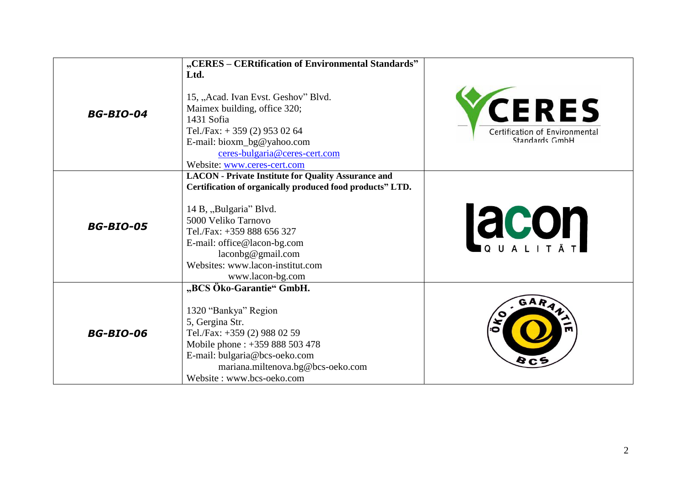|                  | "CERES - CERtification of Environmental Standards"<br>Ltd.                                                                                                                                                                                                                                                        |                                                                   |
|------------------|-------------------------------------------------------------------------------------------------------------------------------------------------------------------------------------------------------------------------------------------------------------------------------------------------------------------|-------------------------------------------------------------------|
| <b>BG-BIO-04</b> | 15, "Acad. Ivan Evst. Geshov" Blvd.<br>Maimex building, office 320;<br>1431 Sofia<br>Tel./Fax: $+ 359$ (2) 953 02 64<br>E-mail: bioxm_bg@yahoo.com<br>ceres-bulgaria@ceres-cert.com<br>Website: www.ceres-cert.com                                                                                                | <b>VCERES</b><br>Certification of Environmental<br>Standards GmbH |
| <b>BG-BIO-05</b> | <b>LACON</b> - Private Institute for Quality Assurance and<br>Certification of organically produced food products" LTD.<br>14 B, "Bulgaria" Blvd.<br>5000 Veliko Tarnovo<br>Tel./Fax: +359 888 656 327<br>E-mail: office@lacon-bg.com<br>lacohg@gmail.com<br>Websites: www.lacon-institut.com<br>www.lacon-bg.com | <b>Lacon</b>                                                      |
| <b>BG-BIO-06</b> | "BCS Öko-Garantie" GmbH.<br>1320 "Bankya" Region<br>5, Gergina Str.<br>Tel./Fax: +359 (2) 988 02 59<br>Mobile phone : +359 888 503 478<br>E-mail: bulgaria@bcs-oeko.com<br>mariana.miltenova.bg@bcs-oeko.com<br>Website: www.bcs-oeko.com                                                                         | GAR<br>$\bullet$                                                  |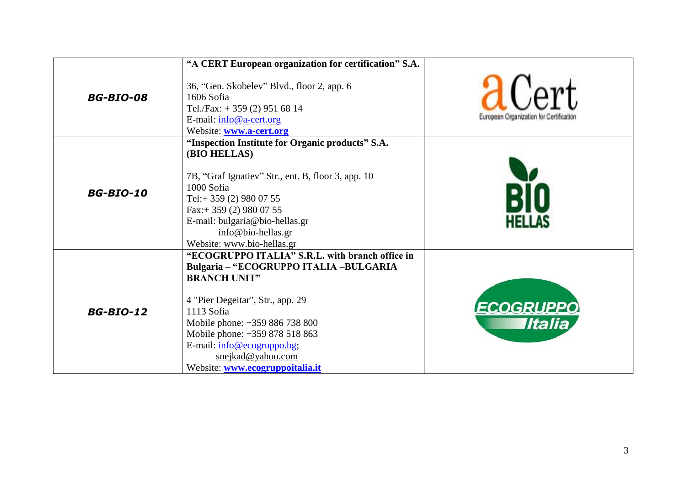|                  | "A CERT European organization for certification" S.A.                                                                                                                                                                                                                                                                        |                                              |
|------------------|------------------------------------------------------------------------------------------------------------------------------------------------------------------------------------------------------------------------------------------------------------------------------------------------------------------------------|----------------------------------------------|
| <b>BG-BIO-08</b> | 36, "Gen. Skobelev" Blvd., floor 2, app. 6<br>1606 Sofia<br>Tel./Fax: $+ 359$ (2) 951 68 14<br>E-mail: info@a-cert.org<br>Website: www.a-cert.org                                                                                                                                                                            | d<br>European Organization for Certification |
| <b>BG-BIO-10</b> | "Inspection Institute for Organic products" S.A.<br>(BIO HELLAS)<br>7B, "Graf Ignatiev" Str., ent. B, floor 3, app. 10<br>1000 Sofia<br>Tel:+359 (2) 980 07 55<br>Fax:+ 359 (2) 980 07 55<br>E-mail: bulgaria@bio-hellas.gr<br>info@bio-hellas.gr<br>Website: www.bio-hellas.gr                                              |                                              |
| <b>BG-BIO-12</b> | "ECOGRUPPO ITALIA" S.R.L. with branch office in<br>Bulgaria - "ECOGRUPPO ITALIA -BULGARIA<br><b>BRANCH UNIT"</b><br>4 "Pier Degeitar", Str., app. 29<br>1113 Sofia<br>Mobile phone: +359 886 738 800<br>Mobile phone: +359 878 518 863<br>E-mail: info@ecogruppo.bg;<br>snejkad@yahoo.com<br>Website: www.ecogruppoitalia.it | <b>ECOGRUPPO</b><br><b>Iltalia</b>           |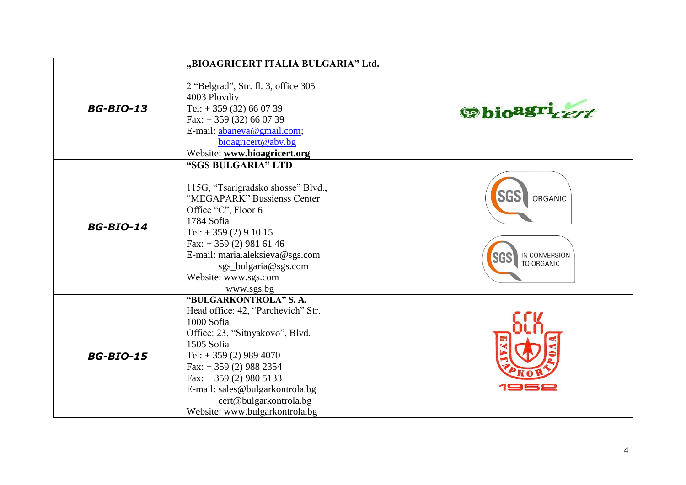|                  | "BIOAGRICERT ITALIA BULGARIA" Ltd.                                                                                                                                                                                                                                                                     |                                               |
|------------------|--------------------------------------------------------------------------------------------------------------------------------------------------------------------------------------------------------------------------------------------------------------------------------------------------------|-----------------------------------------------|
| <b>BG-BIO-13</b> | 2 "Belgrad", Str. fl. 3, office 305<br>4003 Plovdiv<br>Tel: $+359(32)660739$<br>Fax: $+359(32)660739$<br>E-mail: abaneva@gmail.com;<br>bioagricert@abv.bg<br>Website: www.bioagricert.org                                                                                                              | <b>Spioagri</b> cent                          |
| <b>BG-BIO-14</b> | "SGS BULGARIA" LTD<br>115G, "Tsarigradsko shosse" Blvd.,<br>"MEGAPARK" Bussienss Center<br>Office "C", Floor 6<br>1784 Sofia<br>Tel: $+359(2)91015$<br>Fax: $+359(2)9816146$<br>E-mail: maria.aleksieva@sgs.com<br>sgs_bulgaria@sgs.com<br>Website: www.sgs.com<br>www.sgs.bg                          | ORGANIC<br>IN CONVERSION<br><b>TO ORGANIC</b> |
| <b>BG-BIO-15</b> | "BULGARKONTROLA" S.A.<br>Head office: 42, "Parchevich" Str.<br>1000 Sofia<br>Office: 23, "Sitnyakovo", Blvd.<br>1505 Sofia<br>Tel: $+359(2)9894070$<br>Fax: $+359(2)$ 988 2354<br>Fax: $+359(2)9805133$<br>E-mail: sales@bulgarkontrola.bg<br>cert@bulgarkontrola.bg<br>Website: www.bulgarkontrola.bg |                                               |